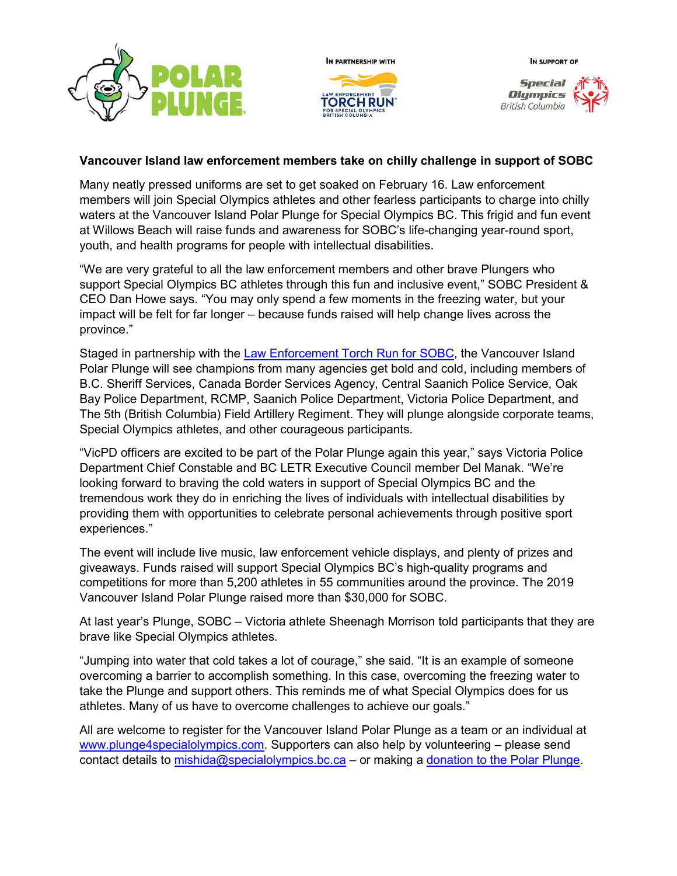







## **Vancouver Island law enforcement members take on chilly challenge in support of SOBC**

Many neatly pressed uniforms are set to get soaked on February 16. Law enforcement members will join Special Olympics athletes and other fearless participants to charge into chilly waters at the Vancouver Island Polar Plunge for Special Olympics BC. This frigid and fun event at Willows Beach will raise funds and awareness for SOBC's life-changing year-round sport, youth, and health programs for people with intellectual disabilities.

"We are very grateful to all the law enforcement members and other brave Plungers who support Special Olympics BC athletes through this fun and inclusive event," SOBC President & CEO Dan Howe says. "You may only spend a few moments in the freezing water, but your impact will be felt for far longer – because funds raised will help change lives across the province."

Staged in partnership with the [Law Enforcement Torch Run for SOBC,](https://www.specialolympics.ca/british-columbia/ways-give/law-enforcement-torch-run) the Vancouver Island Polar Plunge will see champions from many agencies get bold and cold, including members of B.C. Sheriff Services, Canada Border Services Agency, Central Saanich Police Service, Oak Bay Police Department, RCMP, Saanich Police Department, Victoria Police Department, and The 5th (British Columbia) Field Artillery Regiment. They will plunge alongside corporate teams, Special Olympics athletes, and other courageous participants.

"VicPD officers are excited to be part of the Polar Plunge again this year," says Victoria Police Department Chief Constable and BC LETR Executive Council member Del Manak. "We're looking forward to braving the cold waters in support of Special Olympics BC and the tremendous work they do in enriching the lives of individuals with intellectual disabilities by providing them with opportunities to celebrate personal achievements through positive sport experiences."

The event will include live music, law enforcement vehicle displays, and plenty of prizes and giveaways. Funds raised will support Special Olympics BC's high-quality programs and competitions for more than 5,200 athletes in 55 communities around the province. The 2019 Vancouver Island Polar Plunge raised more than \$30,000 for SOBC.

At last year's Plunge, SOBC – Victoria athlete Sheenagh Morrison told participants that they are brave like Special Olympics athletes.

"Jumping into water that cold takes a lot of courage," she said. "It is an example of someone overcoming a barrier to accomplish something. In this case, overcoming the freezing water to take the Plunge and support others. This reminds me of what Special Olympics does for us athletes. Many of us have to overcome challenges to achieve our goals."

All are welcome to register for the Vancouver Island Polar Plunge as a team or an individual at [www.plunge4specialolympics.com.](http://www.plunge4specialolympics.com/) Supporters can also help by volunteering – please send contact details to [mishida@specialolympics.bc.ca](mailto:mishida@specialolympics.bc.ca?subject=Volunteering%20for%20the%20Vancouver%20Island%20Polar%20Plunge%20for%20SOBC) - or making a [donation to the Polar Plunge.](https://secure.e2rm.com/registrant/donate.aspx?eventid=299872&langpref=en-CA&LocationID=299874&Referrer=https%3a%2f%2fspecialolympics.ca%2fpolar-plunge-special-olympics-bc)